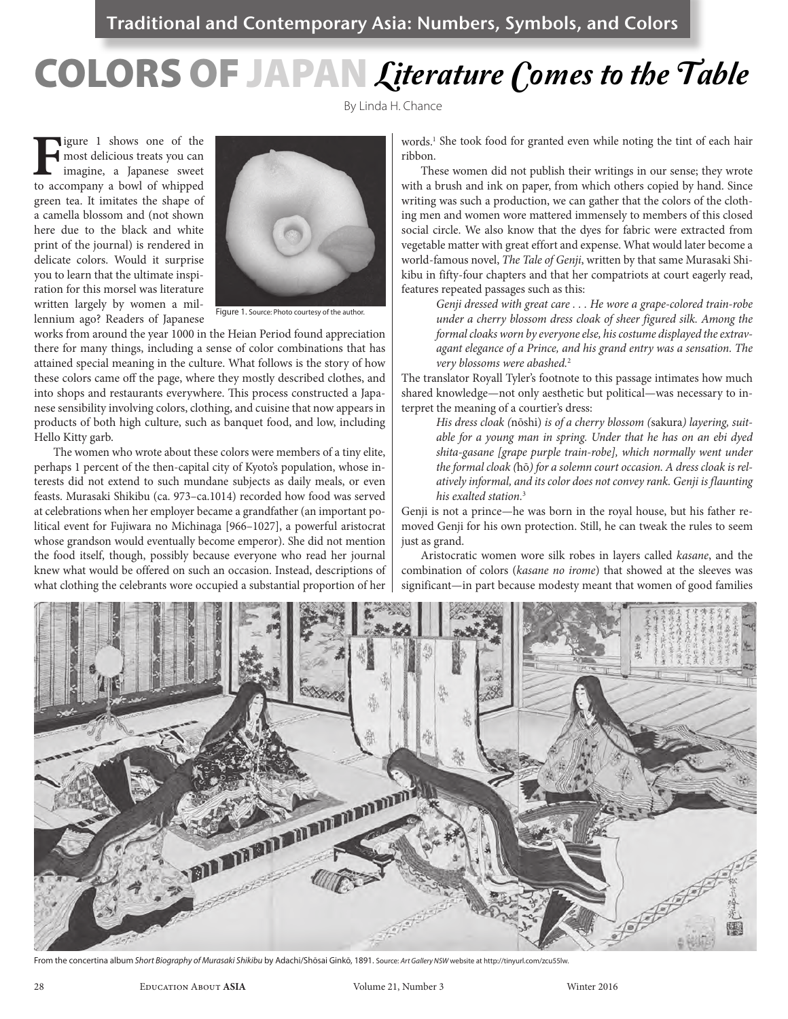# Colors of Japan Literature Comes to the Table

By Linda H. Chance

**Figure 1** shows one of the most delicious treats you can imagine, a Japanese sweet to accompany a bowl of whipped most delicious treats you can imagine, a Japanese sweet green tea. It imitates the shape of a camella blossom and (not shown here due to the black and white print of the journal) is rendered in delicate colors. Would it surprise you to learn that the ultimate inspiration for this morsel was literature written largely by women a millennium ago? Readers of Japanese



Figure 1. Source: Photo courtesy of the author.

works from around the year 1000 in the Heian Period found appreciation there for many things, including a sense of color combinations that has attained special meaning in the culture. What follows is the story of how these colors came off the page, where they mostly described clothes, and into shops and restaurants everywhere. This process constructed a Japanese sensibility involving colors, clothing, and cuisine that now appears in products of both high culture, such as banquet food, and low, including Hello Kitty garb.

The women who wrote about these colors were members of a tiny elite, perhaps 1 percent of the then-capital city of Kyoto's population, whose interests did not extend to such mundane subjects as daily meals, or even feasts. Murasaki Shikibu (ca. 973–ca.1014) recorded how food was served at celebrations when her employer became a grandfather (an important political event for Fujiwara no Michinaga [966–1027], a powerful aristocrat whose grandson would eventually become emperor). She did not mention the food itself, though, possibly because everyone who read her journal knew what would be offered on such an occasion. Instead, descriptions of what clothing the celebrants wore occupied a substantial proportion of her

words.1 She took food for granted even while noting the tint of each hair ribbon.

These women did not publish their writings in our sense; they wrote with a brush and ink on paper, from which others copied by hand. Since writing was such a production, we can gather that the colors of the clothing men and women wore mattered immensely to members of this closed social circle. We also know that the dyes for fabric were extracted from vegetable matter with great effort and expense. What would later become a world-famous novel, *The Tale of Genji*, written by that same Murasaki Shikibu in fifty-four chapters and that her compatriots at court eagerly read, features repeated passages such as this:

*Genji dressed with great care . . . He wore a grape-colored train-robe under a cherry blossom dress cloak of sheer figured silk. Among the formal cloaks worn by everyone else, his costume displayed the extravagant elegance of a Prince, and his grand entry was a sensation. The very blossoms were abashed.*<sup>2</sup>

The translator Royall Tyler's footnote to this passage intimates how much shared knowledge—not only aesthetic but political—was necessary to interpret the meaning of a courtier's dress:

*His dress cloak (*nōshi) *is of a cherry blossom (*sakura*) layering, suitable for a young man in spring. Under that he has on an ebi dyed shita-gasane [grape purple train-robe], which normally went under the formal cloak (*hō*) for a solemn court occasion. A dress cloak is relatively informal, and its color does not convey rank. Genji is flaunting his exalted station.*<sup>3</sup>

Genji is not a prince—he was born in the royal house, but his father removed Genji for his own protection. Still, he can tweak the rules to seem just as grand.

Aristocratic women wore silk robes in layers called *kasane*, and the combination of colors (*kasane no irome*) that showed at the sleeves was significant—in part because modesty meant that women of good families



From the concertina album *Short Biography of Murasaki Shikibu* by Adachi/Shōsai Ginkō, 1891. Source: *Art Gallery NSW* website at http://tinyurl.com/zcu55lw.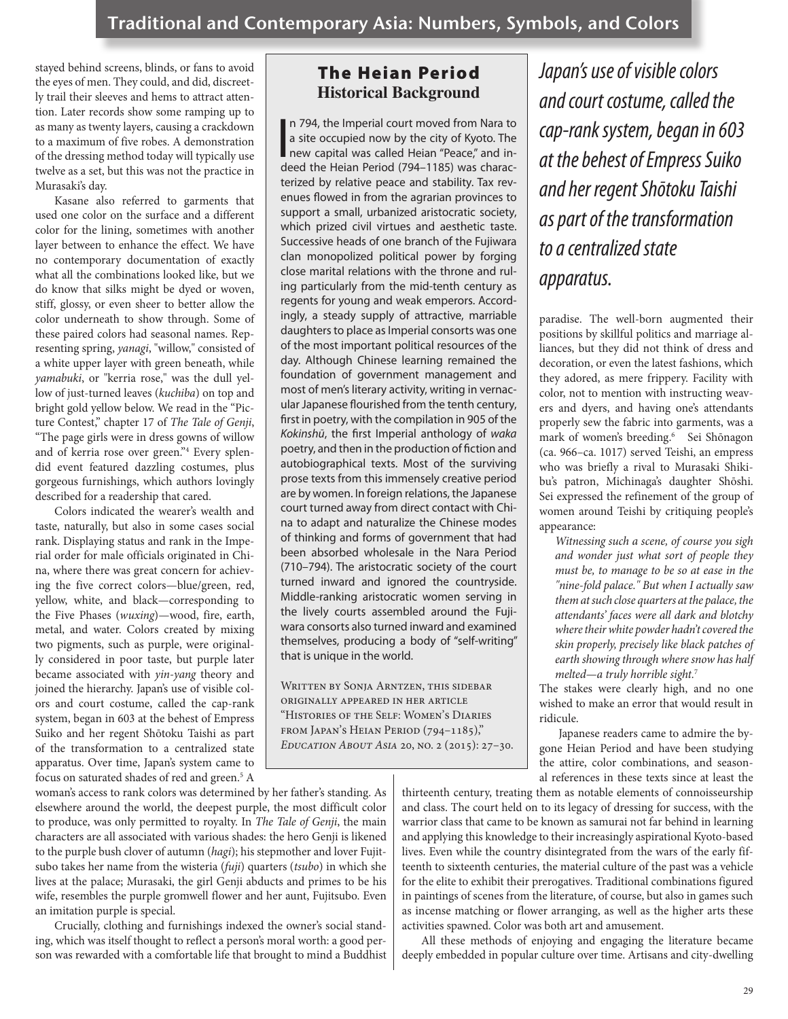stayed behind screens, blinds, or fans to avoid the eyes of men. They could, and did, discreetly trail their sleeves and hems to attract attention. Later records show some ramping up to as many as twenty layers, causing a crackdown to a maximum of five robes. A demonstration of the dressing method today will typically use twelve as a set, but this was not the practice in Murasaki's day.

Kasane also referred to garments that used one color on the surface and a different color for the lining, sometimes with another layer between to enhance the effect. We have no contemporary documentation of exactly what all the combinations looked like, but we do know that silks might be dyed or woven, stiff, glossy, or even sheer to better allow the color underneath to show through. Some of these paired colors had seasonal names. Representing spring, *yanagi*, "willow," consisted of a white upper layer with green beneath, while *yamabuki*, or "kerria rose," was the dull yellow of just-turned leaves (*kuchiba*) on top and bright gold yellow below. We read in the "Picture Contest," chapter 17 of *The Tale of Genji*, "The page girls were in dress gowns of willow and of kerria rose over green."4 Every splendid event featured dazzling costumes, plus gorgeous furnishings, which authors lovingly described for a readership that cared.

Colors indicated the wearer's wealth and taste, naturally, but also in some cases social rank. Displaying status and rank in the Imperial order for male officials originated in China, where there was great concern for achieving the five correct colors—blue/green, red, yellow, white, and black—corresponding to the Five Phases (*wuxing*)—wood, fire, earth, metal, and water. Colors created by mixing two pigments, such as purple, were originally considered in poor taste, but purple later became associated with *yin-yang* theory and joined the hierarchy. Japan's use of visible colors and court costume, called the cap-rank system, began in 603 at the behest of Empress Suiko and her regent Shōtoku Taishi as part of the transformation to a centralized state apparatus. Over time, Japan's system came to focus on saturated shades of red and green.<sup>5</sup> A

woman's access to rank colors was determined by her father's standing. As elsewhere around the world, the deepest purple, the most difficult color to produce, was only permitted to royalty. In *The Tale of Genji*, the main characters are all associated with various shades: the hero Genji is likened to the purple bush clover of autumn (*hagi*); his stepmother and lover Fujitsubo takes her name from the wisteria (*fuji*) quarters (*tsubo*) in which she lives at the palace; Murasaki, the girl Genji abducts and primes to be his wife, resembles the purple gromwell flower and her aunt, Fujitsubo. Even an imitation purple is special.

Crucially, clothing and furnishings indexed the owner's social standing, which was itself thought to reflect a person's moral worth: a good person was rewarded with a comfortable life that brought to mind a Buddhist

### The Heian Period **Historical Background**

n 794, the Imperial court moved from Nara to<br>a site occupied now by the city of Kyoto. The<br>new capital was called Heian "Peace," and in-<br>deed the Heian Period (794–1185) was characn 794, the Imperial court moved from Nara to a site occupied now by the city of Kyoto. The deed the Heian Period (794–1185) was characterized by relative peace and stability. Tax revenues flowed in from the agrarian provinces to support a small, urbanized aristocratic society, which prized civil virtues and aesthetic taste. Successive heads of one branch of the Fujiwara clan monopolized political power by forging close marital relations with the throne and ruling particularly from the mid-tenth century as regents for young and weak emperors. Accordingly, a steady supply of attractive, marriable daughters to place as Imperial consorts was one of the most important political resources of the day. Although Chinese learning remained the foundation of government management and most of men's literary activity, writing in vernacular Japanese flourished from the tenth century, first in poetry, with the compilation in 905 of the *Kokinshū*, the first Imperial anthology of *waka* poetry, and then in the production of fiction and autobiographical texts. Most of the surviving prose texts from this immensely creative period are by women. In foreign relations, the Japanese court turned away from direct contact with China to adapt and naturalize the Chinese modes of thinking and forms of government that had been absorbed wholesale in the Nara Period (710–794). The aristocratic society of the court turned inward and ignored the countryside. Middle-ranking aristocratic women serving in the lively courts assembled around the Fujiwara consorts also turned inward and examined themselves, producing a body of "self-writing" that is unique in the world.

WRITTEN BY SONJA ARNTZEN, THIS SIDEBAR originally appeared in her article "Histories of the Self: Women's Diaries from Japan's Heian Period (794–1185)," *Education About Asia* 20, no. 2 (2015): 27–30. *Japan's use of visible colors and court costume, called the cap-rank system, began in 603 at the behest of Empress Suiko and her regent Shōtoku Taishi as part of the transformation to a centralized state apparatus.*

paradise. The well-born augmented their positions by skillful politics and marriage alliances, but they did not think of dress and decoration, or even the latest fashions, which they adored, as mere frippery. Facility with color, not to mention with instructing weavers and dyers, and having one's attendants properly sew the fabric into garments, was a mark of women's breeding.<sup>6</sup> Sei Shōnagon (ca. 966–ca. 1017) served Teishi, an empress who was briefly a rival to Murasaki Shikibu's patron, Michinaga's daughter Shōshi. Sei expressed the refinement of the group of women around Teishi by critiquing people's appearance:

*Witnessing such a scene, of course you sigh and wonder just what sort of people they must be, to manage to be so at ease in the "nine-fold palace." But when I actually saw them at such close quarters at the palace, the attendants' faces were all dark and blotchy where their white powder hadn't covered the skin properly, precisely like black patches of earth showing through where snow has half melted—a truly horrible sight.*<sup>7</sup>

The stakes were clearly high, and no one wished to make an error that would result in ridicule.

Japanese readers came to admire the bygone Heian Period and have been studying the attire, color combinations, and seasonal references in these texts since at least the

thirteenth century, treating them as notable elements of connoisseurship and class. The court held on to its legacy of dressing for success, with the warrior class that came to be known as samurai not far behind in learning and applying this knowledge to their increasingly aspirational Kyoto-based lives. Even while the country disintegrated from the wars of the early fifteenth to sixteenth centuries, the material culture of the past was a vehicle for the elite to exhibit their prerogatives. Traditional combinations figured in paintings of scenes from the literature, of course, but also in games such as incense matching or flower arranging, as well as the higher arts these activities spawned. Color was both art and amusement.

All these methods of enjoying and engaging the literature became deeply embedded in popular culture over time. Artisans and city-dwelling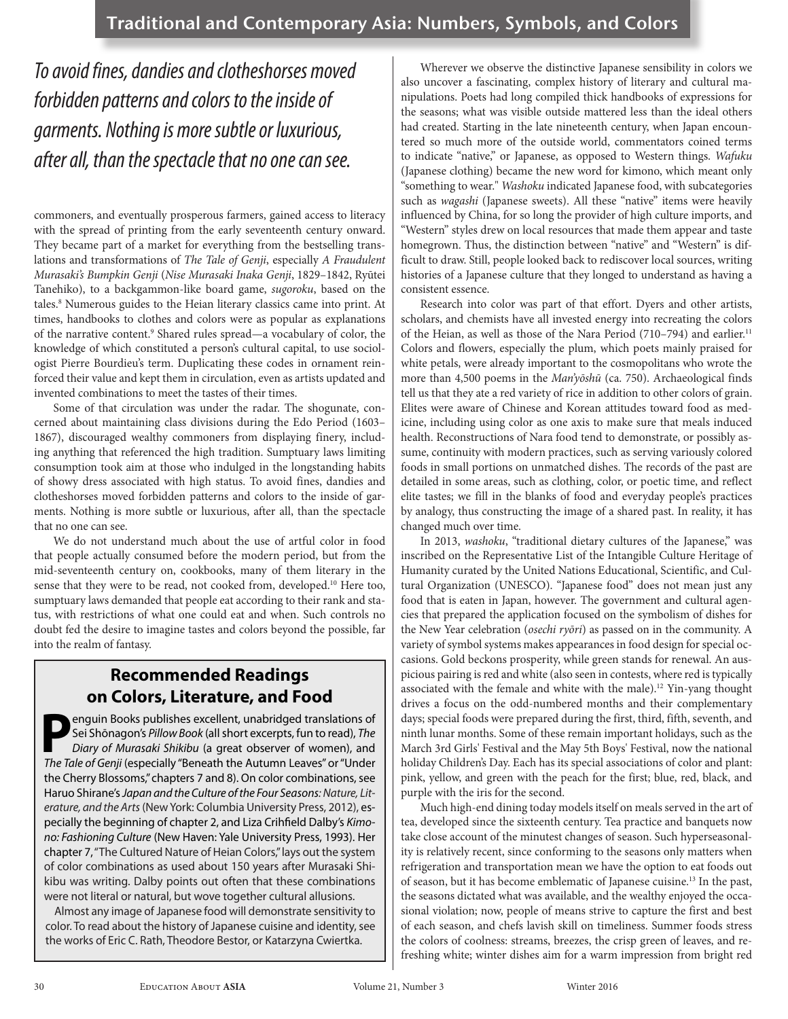*To avoid fines, dandies and clotheshorses moved forbidden patterns and colors to the inside of garments. Nothing is more subtle or luxurious, after all, than the spectacle that no one can see.*

commoners, and eventually prosperous farmers, gained access to literacy with the spread of printing from the early seventeenth century onward. They became part of a market for everything from the bestselling translations and transformations of *The Tale of Genji*, especially *A Fraudulent Murasaki's Bumpkin Genji* (*Nise Murasaki Inaka Genji*, 1829–1842, Ryūtei Tanehiko), to a backgammon-like board game, *sugoroku*, based on the tales.<sup>8</sup> Numerous guides to the Heian literary classics came into print. At times, handbooks to clothes and colors were as popular as explanations of the narrative content.<sup>9</sup> Shared rules spread—a vocabulary of color, the knowledge of which constituted a person's cultural capital, to use sociologist Pierre Bourdieu's term. Duplicating these codes in ornament reinforced their value and kept them in circulation, even as artists updated and invented combinations to meet the tastes of their times.

Some of that circulation was under the radar. The shogunate, concerned about maintaining class divisions during the Edo Period (1603– 1867), discouraged wealthy commoners from displaying finery, including anything that referenced the high tradition. Sumptuary laws limiting consumption took aim at those who indulged in the longstanding habits of showy dress associated with high status. To avoid fines, dandies and clotheshorses moved forbidden patterns and colors to the inside of garments. Nothing is more subtle or luxurious, after all, than the spectacle that no one can see.

We do not understand much about the use of artful color in food that people actually consumed before the modern period, but from the mid-seventeenth century on, cookbooks, many of them literary in the sense that they were to be read, not cooked from, developed.<sup>10</sup> Here too, sumptuary laws demanded that people eat according to their rank and status, with restrictions of what one could eat and when. Such controls no doubt fed the desire to imagine tastes and colors beyond the possible, far into the realm of fantasy.

## **Recommended Readings on Colors, Literature, and Food**

**P**enguin Books publishes excellent, unabridged translations of Sei Shōnagon's *Pillow Book* (all short excerpts, fun to read), *The Diary of Murasaki Shikibu* (a great observer of women), and *The Tale of Genji* (especially "Beneath the Autumn Leaves" or "Under the Cherry Blossoms," chapters 7 and 8). On color combinations, see Haruo Shirane's *Japan and the Culture of the Four Seasons: Nature, Literature, and the Arts* (New York: Columbia University Press, 2012), especially the beginning of chapter 2, and Liza Crihfield Dalby's *Kimono: Fashioning Culture* (New Haven: Yale University Press, 1993). Her chapter 7, "The Cultured Nature of Heian Colors," lays out the system of color combinations as used about 150 years after Murasaki Shikibu was writing. Dalby points out often that these combinations were not literal or natural, but wove together cultural allusions.

Almost any image of Japanese food will demonstrate sensitivity to color. To read about the history of Japanese cuisine and identity, see the works of Eric C. Rath, Theodore Bestor, or Katarzyna Cwiertka.

Wherever we observe the distinctive Japanese sensibility in colors we also uncover a fascinating, complex history of literary and cultural manipulations. Poets had long compiled thick handbooks of expressions for the seasons; what was visible outside mattered less than the ideal others had created. Starting in the late nineteenth century, when Japan encountered so much more of the outside world, commentators coined terms to indicate "native," or Japanese, as opposed to Western things. *Wafuku* (Japanese clothing) became the new word for kimono, which meant only "something to wear." *Washoku* indicated Japanese food, with subcategories such as *wagashi* (Japanese sweets). All these "native" items were heavily influenced by China, for so long the provider of high culture imports, and "Western" styles drew on local resources that made them appear and taste homegrown. Thus, the distinction between "native" and "Western" is difficult to draw. Still, people looked back to rediscover local sources, writing histories of a Japanese culture that they longed to understand as having a consistent essence.

Research into color was part of that effort. Dyers and other artists, scholars, and chemists have all invested energy into recreating the colors of the Heian, as well as those of the Nara Period (710-794) and earlier.<sup>11</sup> Colors and flowers, especially the plum, which poets mainly praised for white petals, were already important to the cosmopolitans who wrote the more than 4,500 poems in the *Man'yōshū* (ca. 750). Archaeological finds tell us that they ate a red variety of rice in addition to other colors of grain. Elites were aware of Chinese and Korean attitudes toward food as medicine, including using color as one axis to make sure that meals induced health. Reconstructions of Nara food tend to demonstrate, or possibly assume, continuity with modern practices, such as serving variously colored foods in small portions on unmatched dishes. The records of the past are detailed in some areas, such as clothing, color, or poetic time, and reflect elite tastes; we fill in the blanks of food and everyday people's practices by analogy, thus constructing the image of a shared past. In reality, it has changed much over time.

In 2013, *washoku*, "traditional dietary cultures of the Japanese," was inscribed on the Representative List of the Intangible Culture Heritage of Humanity curated by the United Nations Educational, Scientific, and Cultural Organization (UNESCO). "Japanese food" does not mean just any food that is eaten in Japan, however. The government and cultural agencies that prepared the application focused on the symbolism of dishes for the New Year celebration (*osechi ryōri*) as passed on in the community. A variety of symbol systems makes appearances in food design for special occasions. Gold beckons prosperity, while green stands for renewal. An auspicious pairing is red and white (also seen in contests, where red is typically associated with the female and white with the male).<sup>12</sup> Yin-yang thought drives a focus on the odd-numbered months and their complementary days; special foods were prepared during the first, third, fifth, seventh, and ninth lunar months. Some of these remain important holidays, such as the March 3rd Girls' Festival and the May 5th Boys' Festival, now the national holiday Children's Day. Each has its special associations of color and plant: pink, yellow, and green with the peach for the first; blue, red, black, and purple with the iris for the second.

Much high-end dining today models itself on meals served in the art of tea, developed since the sixteenth century. Tea practice and banquets now take close account of the minutest changes of season. Such hyperseasonality is relatively recent, since conforming to the seasons only matters when refrigeration and transportation mean we have the option to eat foods out of season, but it has become emblematic of Japanese cuisine.13 In the past, the seasons dictated what was available, and the wealthy enjoyed the occasional violation; now, people of means strive to capture the first and best of each season, and chefs lavish skill on timeliness. Summer foods stress the colors of coolness: streams, breezes, the crisp green of leaves, and refreshing white; winter dishes aim for a warm impression from bright red